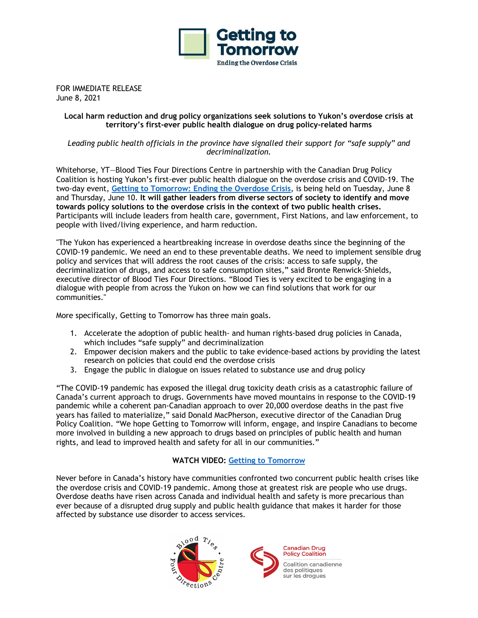

FOR IMMEDIATE RELEASE June 8, 2021

## **Local harm reduction and drug policy organizations seek solutions to Yukon's overdose crisis at territory's first-ever public health dialogue on drug policy-related harms**

*Leading public health officials in the province have signalled their support for "safe supply" and decriminalization.*

Whitehorse, YT—Blood Ties Four Directions Centre in partnership with the Canadian Drug Policy Coalition is hosting Yukon's first-ever public health dialogue on the overdose crisis and COVID-19. The two-day event, **Getting to Tomorrow: Ending the Overdose Crisis**, is being held on Tuesday, June 8 and Thursday, June 10. **It will gather leaders from diverse sectors of society to identify and move towards policy solutions to the overdose crisis in the context of two public health crises.** Participants will include leaders from health care, government, First Nations, and law enforcement, to people with lived/living experience, and harm reduction.

"The Yukon has experienced a heartbreaking increase in overdose deaths since the beginning of the COVID-19 pandemic. We need an end to these preventable deaths. We need to implement sensible drug policy and services that will address the root causes of the crisis: access to safe supply, the decriminalization of drugs, and access to safe consumption sites," said Bronte Renwick-Shields, executive director of Blood Ties Four Directions. "Blood Ties is very excited to be engaging in a dialogue with people from across the Yukon on how we can find solutions that work for our communities."

More specifically, Getting to Tomorrow has three main goals.

- 1. Accelerate the adoption of public health- and human rights-based drug policies in Canada, which includes "safe supply" and decriminalization
- 2. Empower decision makers and the public to take evidence-based actions by providing the latest research on policies that could end the overdose crisis
- 3. Engage the public in dialogue on issues related to substance use and drug policy

"The COVID-19 pandemic has exposed the illegal drug toxicity death crisis as a catastrophic failure of Canada's current approach to drugs. Governments have moved mountains in response to the COVID-19 pandemic while a coherent pan-Canadian approach to over 20,000 overdose deaths in the past five years has failed to materialize," said Donald MacPherson, executive director of the Canadian Drug Policy Coalition. "We hope Getting to Tomorrow will inform, engage, and inspire Canadians to become more involved in building a new approach to drugs based on principles of public health and human rights, and lead to improved health and safety for all in our communities."

## **WATCH VIDEO: Getting to Tomorrow**

Never before in Canada's history have communities confronted two concurrent public health crises like the overdose crisis and COVID-19 pandemic. Among those at greatest risk are people who use drugs. Overdose deaths have risen across Canada and individual health and safety is more precarious than ever because of a disrupted drug supply and public health guidance that makes it harder for those affected by substance use disorder to access services.